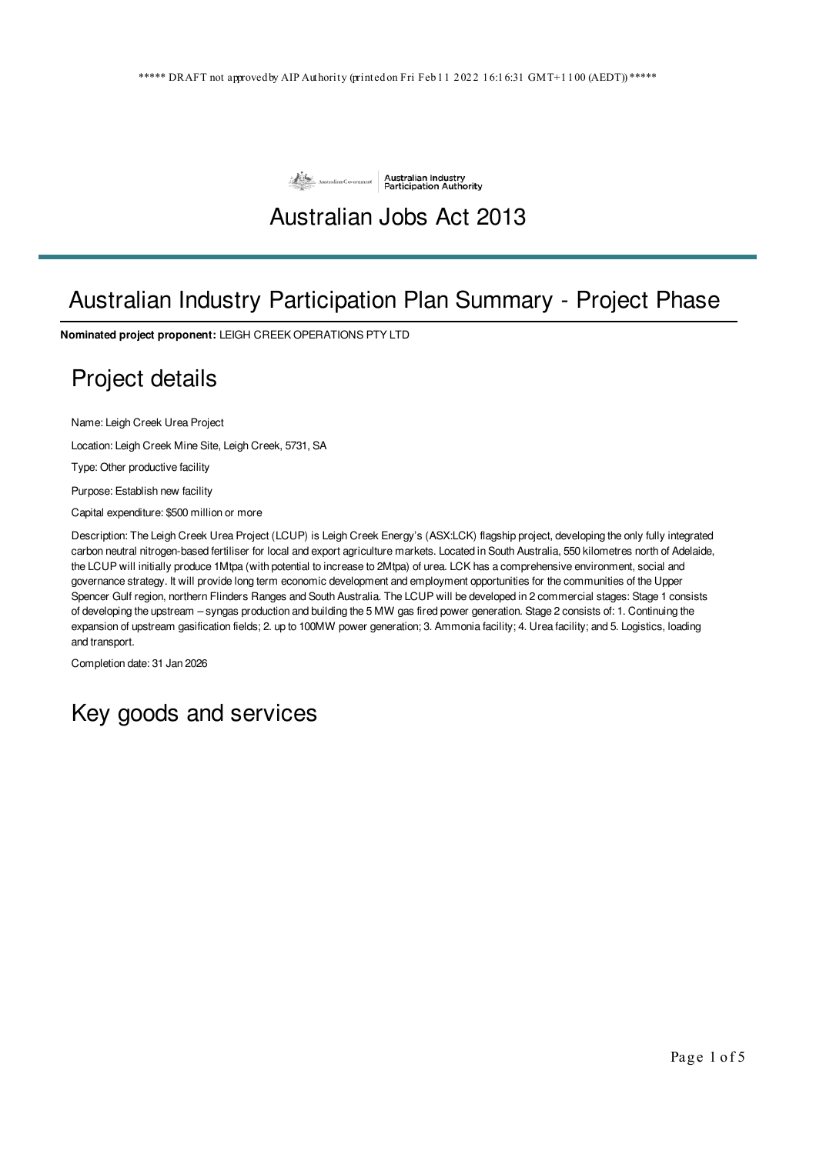

# Australian Jobs Act 2013

# Australian Industry Participation Plan Summary - Project Phase

**Nominated project proponent:** LEIGH CREEK OPERATIONS PTY LTD

# Project details

Name: Leigh Creek Urea Project

Location: Leigh Creek Mine Site, Leigh Creek, 5731, SA

Type: Other productive facility

Purpose: Establish new facility

Capital expenditure: \$500 million or more

Description: The Leigh Creek Urea Project (LCUP) is Leigh Creek Energy's (ASX:LCK) flagship project, developing the only fully integrated carbon neutral nitrogen-based fertiliser for local and export agriculture markets. Located in South Australia, 550 kilometres north of Adelaide, the LCUP will initially produce 1Mtpa (with potential to increase to 2Mtpa) of urea. LCK has a comprehensive environment, social and governance strategy. It will provide long term economic development and employment opportunities for the communities of the Upper Spencer Gulf region, northern Flinders Ranges and South Australia. The LCUP will be developed in 2 commercial stages: Stage 1 consists of developing the upstream – syngas production and building the 5 MW gas fired power generation. Stage 2 consists of: 1. Continuing the expansion of upstream gasification fields; 2. up to 100MW power generation; 3. Ammonia facility; 4. Urea facility; and 5. Logistics, loading and transport.

Completion date: 31 Jan 2026

# Key goods and services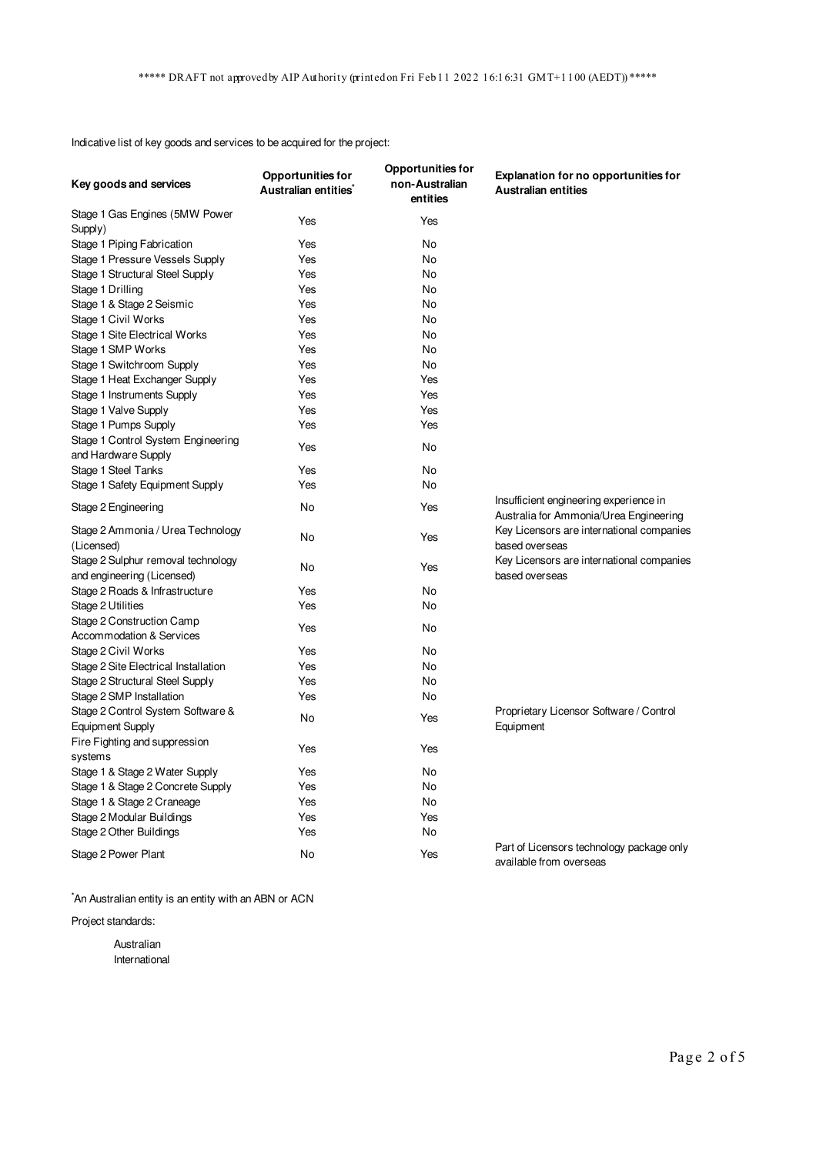Indicative list of key goods and services to be acquired for the project:

| Key goods and services                                           | <b>Opportunities for</b><br>Australian entities | <b>Opportunities for</b><br>non-Australian<br>entities | <b>Explanation for no opportunities for</b><br><b>Australian entities</b>        |
|------------------------------------------------------------------|-------------------------------------------------|--------------------------------------------------------|----------------------------------------------------------------------------------|
| Stage 1 Gas Engines (5MW Power                                   | Yes                                             | Yes                                                    |                                                                                  |
| Supply)                                                          |                                                 |                                                        |                                                                                  |
| Stage 1 Piping Fabrication                                       | Yes                                             | No                                                     |                                                                                  |
| Stage 1 Pressure Vessels Supply                                  | Yes                                             | No                                                     |                                                                                  |
| Stage 1 Structural Steel Supply                                  | Yes                                             | No                                                     |                                                                                  |
| Stage 1 Drilling                                                 | Yes                                             | No                                                     |                                                                                  |
| Stage 1 & Stage 2 Seismic                                        | Yes                                             | No                                                     |                                                                                  |
| Stage 1 Civil Works                                              | Yes                                             | No                                                     |                                                                                  |
| Stage 1 Site Electrical Works                                    | Yes                                             | No                                                     |                                                                                  |
| Stage 1 SMP Works                                                | Yes                                             | No                                                     |                                                                                  |
| Stage 1 Switchroom Supply                                        | Yes                                             | No                                                     |                                                                                  |
| Stage 1 Heat Exchanger Supply                                    | Yes                                             | Yes                                                    |                                                                                  |
| Stage 1 Instruments Supply                                       | Yes                                             | Yes                                                    |                                                                                  |
| Stage 1 Valve Supply                                             | Yes                                             | Yes                                                    |                                                                                  |
| Stage 1 Pumps Supply                                             | Yes                                             | Yes                                                    |                                                                                  |
| Stage 1 Control System Engineering<br>and Hardware Supply        | Yes                                             | No                                                     |                                                                                  |
| Stage 1 Steel Tanks                                              | Yes                                             | No                                                     |                                                                                  |
| Stage 1 Safety Equipment Supply                                  | Yes                                             | No                                                     |                                                                                  |
| Stage 2 Engineering                                              | No                                              | Yes                                                    | Insufficient engineering experience in<br>Australia for Ammonia/Urea Engineering |
| Stage 2 Ammonia / Urea Technology<br>(Licensed)                  | No                                              | Yes                                                    | Key Licensors are international companies<br>based overseas                      |
| Stage 2 Sulphur removal technology<br>and engineering (Licensed) | No                                              | Yes                                                    | Key Licensors are international companies<br>based overseas                      |
| Stage 2 Roads & Infrastructure                                   | Yes                                             | No                                                     |                                                                                  |
| Stage 2 Utilities                                                | Yes                                             | No                                                     |                                                                                  |
| Stage 2 Construction Camp<br>Accommodation & Services            | Yes                                             | No                                                     |                                                                                  |
| Stage 2 Civil Works                                              | Yes                                             | No                                                     |                                                                                  |
| Stage 2 Site Electrical Installation                             | Yes                                             | <b>No</b>                                              |                                                                                  |
| Stage 2 Structural Steel Supply                                  | Yes                                             | No                                                     |                                                                                  |
| Stage 2 SMP Installation                                         | Yes                                             | No                                                     |                                                                                  |
| Stage 2 Control System Software &                                | No                                              | Yes                                                    | Proprietary Licensor Software / Control                                          |
| Equipment Supply                                                 |                                                 |                                                        | Equipment                                                                        |
| Fire Fighting and suppression<br>systems                         | Yes                                             | Yes                                                    |                                                                                  |
| Stage 1 & Stage 2 Water Supply                                   | Yes                                             | No                                                     |                                                                                  |
| Stage 1 & Stage 2 Concrete Supply                                | Yes                                             | No                                                     |                                                                                  |
| Stage 1 & Stage 2 Craneage                                       | Yes                                             | No                                                     |                                                                                  |
| Stage 2 Modular Buildings                                        | Yes                                             | Yes                                                    |                                                                                  |
| Stage 2 Other Buildings                                          | Yes                                             | No                                                     |                                                                                  |
| Stage 2 Power Plant                                              | No                                              | Yes                                                    | Part of Licensors technology package only<br>available from overseas             |

\*An Australian entity is an entity with an ABN or ACN

Project standards:

Australian International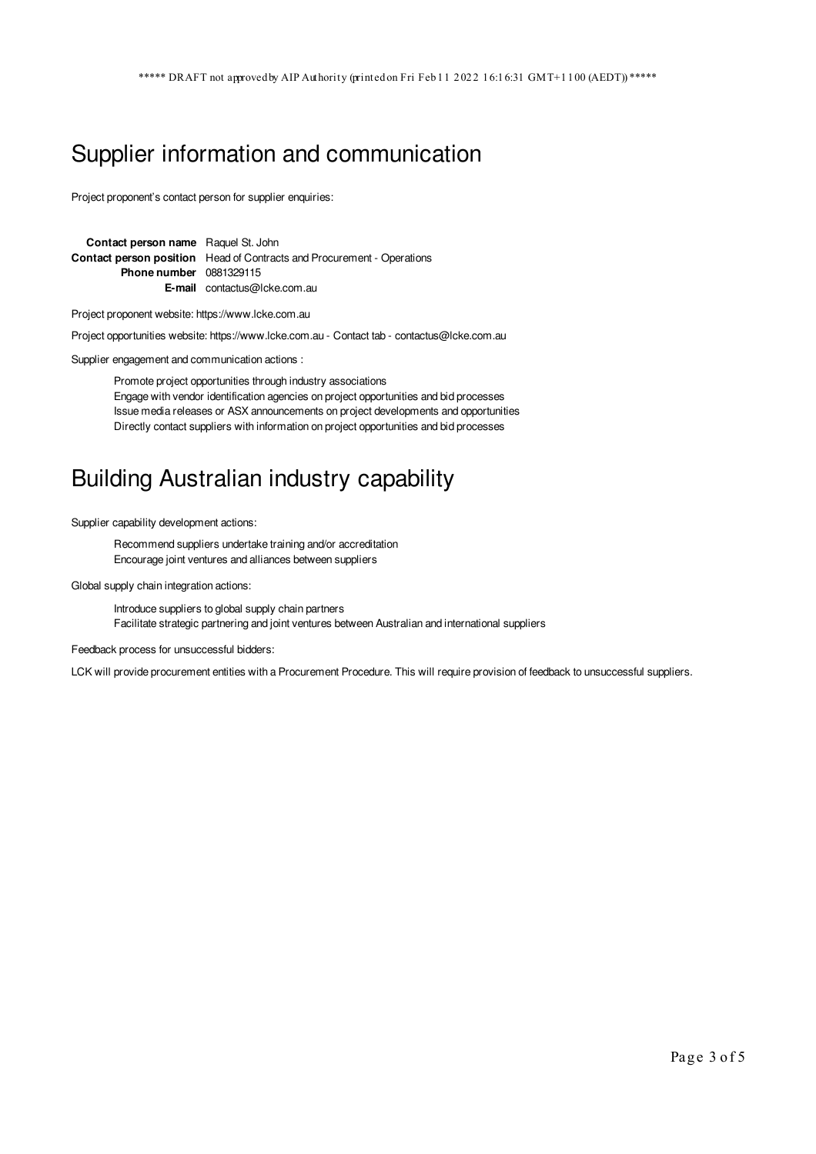#### Supplier information and communication

Project proponent's contact person for supplier enquiries:

**Contact person name** Raquel St. John **Contact person position** Head of Contracts and Procurement - Operations **Phone number** 0881329115 **E-mail** contactus@lcke.com.au

Project proponent website: https://www.lcke.com.au

Project opportunities website: https://www.lcke.com.au - Contact tab - contactus@lcke.com.au

Supplier engagement and communication actions :

Promote project opportunities through industry associations Engage with vendor identification agencies on project opportunities and bid processes Issue media releases or ASX announcements on project developments and opportunities Directly contact suppliers with information on project opportunities and bid processes

### Building Australian industry capability

Supplier capability development actions:

Recommend suppliers undertake training and/or accreditation Encourage joint ventures and alliances between suppliers

Global supply chain integration actions:

Introduce suppliers to global supply chain partners Facilitate strategic partnering and joint ventures between Australian and international suppliers

Feedback process for unsuccessful bidders:

LCK will provide procurement entities with a Procurement Procedure. This will require provision of feedback to unsuccessful suppliers.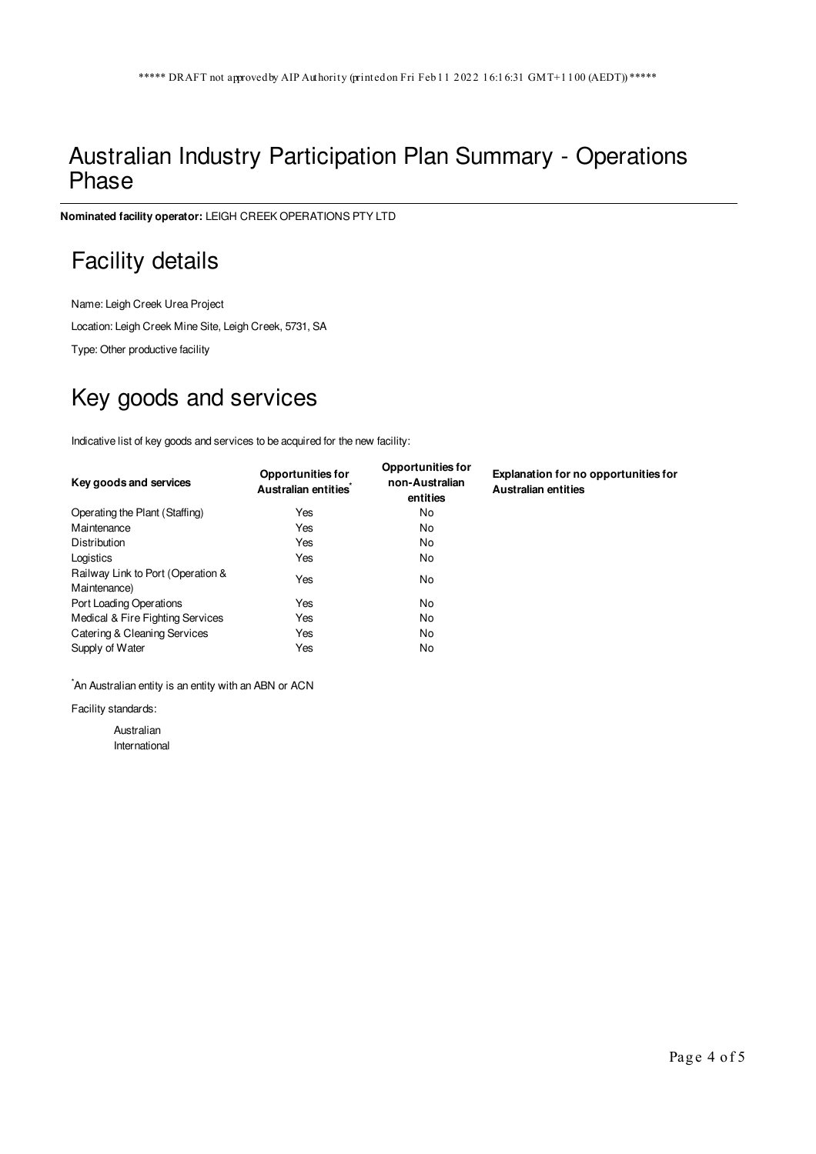#### Australian Industry Participation Plan Summary - Operations Phase

**Nominated facility operator:** LEIGH CREEK OPERATIONS PTY LTD

# Facility details

Name: Leigh Creek Urea Project Location: Leigh Creek Mine Site, Leigh Creek, 5731, SA

Type: Other productive facility

# Key goods and services

Indicative list of key goods and services to be acquired for the new facility:

| Key goods and services                            | <b>Opportunities for</b><br>Australian entities | <b>Opportunities for</b><br>non-Australian<br>entities | <b>Explanation for no opportunities for</b><br><b>Australian entities</b> |
|---------------------------------------------------|-------------------------------------------------|--------------------------------------------------------|---------------------------------------------------------------------------|
| Operating the Plant (Staffing)                    | Yes                                             | No                                                     |                                                                           |
| Maintenance                                       | Yes                                             | No                                                     |                                                                           |
| Distribution                                      | Yes                                             | No                                                     |                                                                           |
| Logistics                                         | Yes                                             | No                                                     |                                                                           |
| Railway Link to Port (Operation &<br>Maintenance) | Yes                                             | No                                                     |                                                                           |
| Port Loading Operations                           | Yes                                             | No                                                     |                                                                           |
| Medical & Fire Fighting Services                  | Yes                                             | No                                                     |                                                                           |
| Catering & Cleaning Services                      | Yes                                             | No                                                     |                                                                           |
| Supply of Water                                   | Yes                                             | No                                                     |                                                                           |

\*An Australian entity is an entity with an ABN or ACN

Facility standards:

Australian International